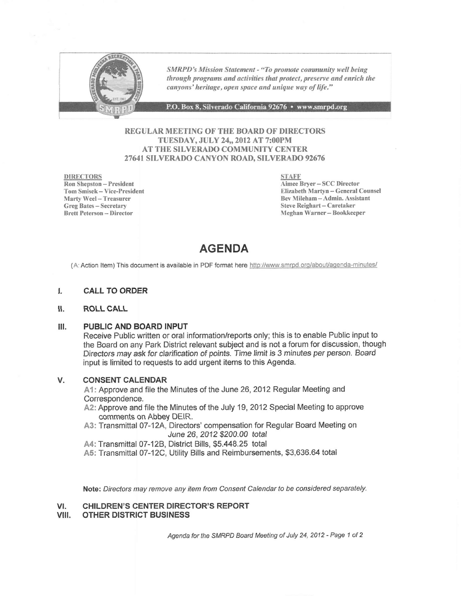

SMRPD's Mission Statement - "To promote community well being through programs and activities that protect, preserve and enrich the canyons' heritage, open space and unique way of life."

P.O. Box 8, Silverado California 92676 • www.smrpd.org

## REGULAR MEETING OF THE BOARD OF DIRECTORS TUESDAY, JULY 24,,2012 AT 7:00PM AT THE SILVERADO COMMUNITY CENTER 2764I SILVERADO CANYON ROAD, SILVERADO 92676

DIRECTORS Ron Shepston - President Tom Smisek - Vice-President Marty Weel - Treasurer Greg Bates - Secretary Brett Peterson - Director

STAFF Aimee Bryer - SCC Director Elizabeth Martyn - General Counsel Bev Nlileham - Admin. Assistant Steve Reighart - Caretaker Meghan Warner - Bookkeeper

## AGENDA

(A: Action Item) This document is available in PDF format here http://www.smrpd.org/about/agenda-minutes/

#### t. CALL TO ORDER

#### \$. ROLL CALL

#### $III.$ PUBLIC AND BOARD INPUT

Receive Public written or oral information/reports only; this is to enable Public input to the Board on any Park District relevant subject and is not a forum for discussion, though Directors may ask for clarification of points. Time limit is 3 minutes per person. Board input is limited to requests to add urgent items to this Agenda.

#### CONSENT CALENDAR V.

A1: Approve and file the Minutes of the June 26, 2012 Regular Meeting and Correspondence.

- A2: Approve and file the Minutes of the July 19, 2012 Special Meeting to approve comments on Abbey DEIR.
- A3: Transmittal 07-12A, Directors' compensation for Regular Board Meeting on June 26,2012 \$200.00 total
- A4: Transmiftal 07-128, District Bills, \$5.448.25 total
- A5: Transmittal 07-12C, Utility Bills and Reimbursements, \$3,636.64 total

Note: Directors may remove any item from Consent Calendar to be considered separately.

#### CHILDREN'S CENTER DIRECTOR'S REPORT vt.

#### OTHER DISTRICT BUSINESS vilt.

Agenda for the SMRPD Board Meeting of July 24, 2012 - Page 1 of 2